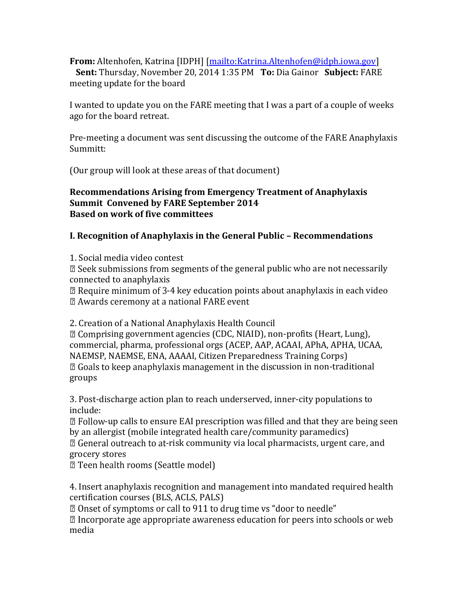**From:** Altenhofen, Katrina [IDPH] [\[mailto:Katrina.Altenhofen@idph.iowa.gov\]](mailto:Katrina.Altenhofen@idph.iowa.gov)

**Sent:** Thursday, November 20, 2014 1:35 PM **To:** Dia Gainor **Subject:** FARE meeting update for the board

I wanted to update you on the FARE meeting that I was a part of a couple of weeks ago for the board retreat.

Pre-meeting a document was sent discussing the outcome of the FARE Anaphylaxis Summitt:

(Our group will look at these areas of that document)

#### **Recommendations Arising from Emergency Treatment of Anaphylaxis Summit Convened by FARE September 2014 Based on work of five committees**

# **I. Recognition of Anaphylaxis in the General Public – Recommendations**

1. Social media video contest

 $\mathbb Z$  Seek submissions from segments of the general public who are not necessarily connected to anaphylaxis

 $\mathbb{Z}$  Require minimum of 3-4 key education points about anaphylaxis in each video

2 Awards ceremony at a national FARE event

2. Creation of a National Anaphylaxis Health Council

<sup>2</sup> Comprising government agencies (CDC, NIAID), non-profits (Heart, Lung), commercial, pharma, professional orgs (ACEP, AAP, ACAAI, APhA, APHA, UCAA, NAEMSP, NAEMSE, ENA, AAAAI, Citizen Preparedness Training Corps)  $\mathbb Z$  Goals to keep anaphylaxis management in the discussion in non-traditional groups

3. Post-discharge action plan to reach underserved, inner-city populations to include:

 $\mathbb D$  Follow-up calls to ensure EAI prescription was filled and that they are being seen by an allergist (mobile integrated health care/community paramedics)

<sup>2</sup> General outreach to at-risk community via local pharmacists, urgent care, and grocery stores

**Z** Teen health rooms (Seattle model)

4. Insert anaphylaxis recognition and management into mandated required health certification courses (BLS, ACLS, PALS)

<sup>2</sup> Onset of symptoms or call to 911 to drug time vs "door to needle"

I Incorporate age appropriate awareness education for peers into schools or web media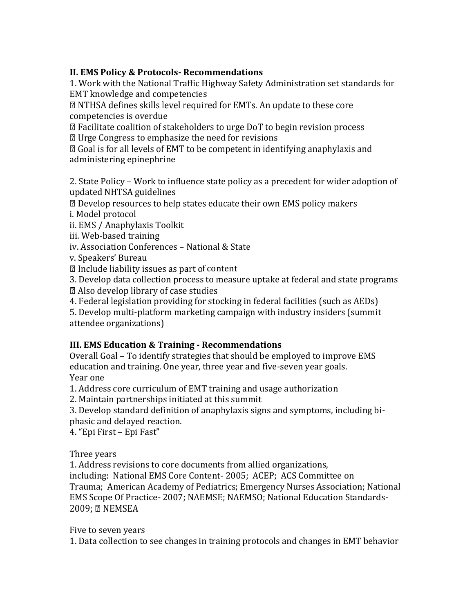## **II. EMS Policy & Protocols- Recommendations**

1. Work with the National Traffic Highway Safety Administration set standards for EMT knowledge and competencies

**Z NTHSA defines skills level required for EMTs. An update to these core** competencies is overdue

sqrt2 Facilitate coalition of stakeholders to urge DoT to begin revision process

 $\mathbb{Z}$  Urge Congress to emphasize the need for revisions

**Z** Goal is for all levels of EMT to be competent in identifying anaphylaxis and administering epinephrine

2. State Policy – Work to influence state policy as a precedent for wider adoption of updated NHTSA guidelines

**sqrtma** Develop resources to help states educate their own EMS policy makers

i. Model protocol

ii. EMS / Anaphylaxis Toolkit

iii. Web-based training

iv. Association Conferences – National & State

v. Speakers' Bureau

 $\mathbb D$  Include liability issues as part of content

3. Develop data collection process to measure uptake at federal and state programs

2 Also develop library of case studies

4. Federal legislation providing for stocking in federal facilities (such as AEDs)

5. Develop multi-platform marketing campaign with industry insiders (summit attendee organizations)

# **III. EMS Education & Training - Recommendations**

Overall Goal – To identify strategies that should be employed to improve EMS education and training. One year, three year and five-seven year goals. Year one

1. Address core curriculum of EMT training and usage authorization

2. Maintain partnerships initiated at this summit

3. Develop standard definition of anaphylaxis signs and symptoms, including biphasic and delayed reaction.

4. "Epi First – Epi Fast"

Three years

1. Address revisions to core documents from allied organizations,

including: National EMS Core Content- 2005; ACEP; ACS Committee on Trauma; American Academy of Pediatrics; Emergency Nurses Association; National EMS Scope Of Practice- 2007; NAEMSE; NAEMSO; National Education Standards-2009; 2 NEMSEA

Five to seven years

1. Data collection to see changes in training protocols and changes in EMT behavior